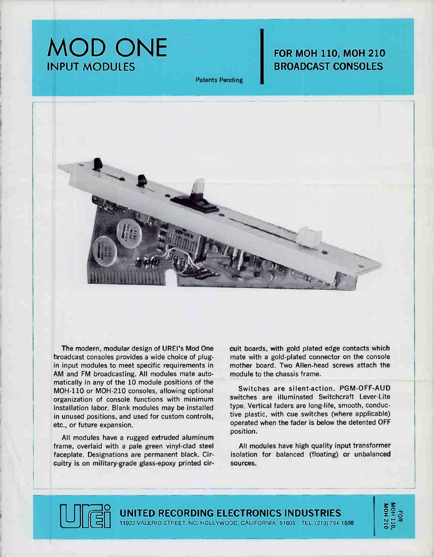# MOD ONE INPUT MODULES

# FOR MOH 110, MOH 210 BROADCAST CONSOLES

Patents Pending



The modern, modular design of UREI's Mod One broadcast consoles provides a wide choice of plugin input modules to meet specific requirements in AM and FM broadcasting. All modules mate automatically in any of the 10 module positions of the MOH-110 or MOH-210 consoles, allowing optional organization of console functions with minimum installation labor. Blank modules may be installed in unused positions, and used for custom controls, etc., or future expansion.

All modules have a rugged extruded aluminum frame, overlaid with a pale green vinyl-clad steel faceplate. Designations are permanent black. Circuitry is on military-grade glass-epoxy printed circuit boards, with gold plated edge contacts which mate with a gold-plated connector on the console mother board. Two Allen-head screws attach the module to the chassis frame.

Switches are silent-action. PGM-OFF-AUD switches are illuminated Switchcraft Lever-Lite type. Vertical faders are long-life, smooth, conductive plastic, with cue switches (where applicable) operated when the fader is below the detented OFF position.

All modules have high quality input transformer isolation for balanced (floating) or unbalanced sources.



UNITED RECORDING ELECTRONICS INDUSTRIES 11922 VALERIO STREET, NO. HOLLYWOOD, CALIFORNIA 91605 TEL. (213) 764-1500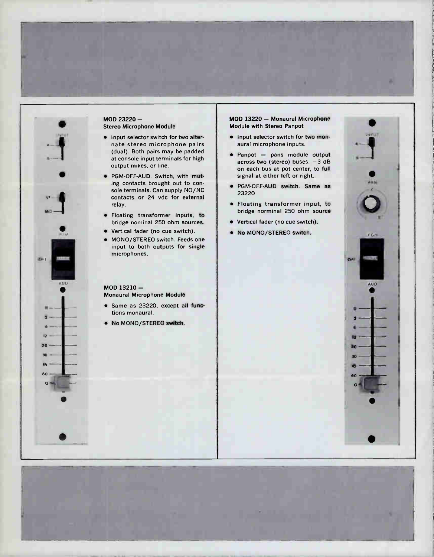

#### MOD 23220 — Stereo Microphone Module

- Input selector switch for two alternate stereo microphone pairs (dual). Both pairs may be padded at console input terminals for high output mikes, or line.
- PGM-OFF-AUD. Switch, with muting contacts brought out to console terminals. Can supply NO/NC contacts or 24 vdc for external relay.
- Floating transformer inputs, to bridge nominal 250 ohm sources.
- Vertical fader (no cue switch).
- MONO/STEREO switch. Feeds one input to both outputs for single microphones.

#### MOD 13210 — Monaural Microphone Module

- Same as 23220, except all functions monaural.
- No MONO/STEREO switch.

#### MOD 13220 — Monaural Microphone Module with Stereo Panpot

- Input selector switch for two monaural microphone inputs.
- Panpot pans module output across two (stereo) buses. —3 dB on each bus at pot center, to full signal at either left or right.
- PGM-OFF-AUD switch. Same as 23220
- Floating transformer input, to bridge norminal 250 ohm source
- Vertical fader (no cue switch).
- No MONO/STEREO switch.



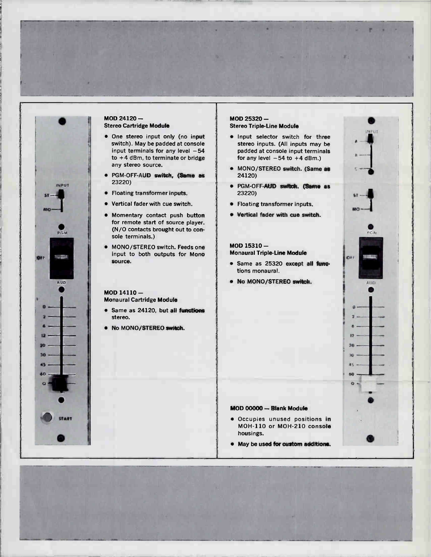

#### MOD 24120 — Stereo Cartridge Module

- One stereo input only (no input switch). May be padded at console input terminals for any level —54 to +4 dBm, to terminate or bridge any stereo source.
- PGM-OFF-AUD switch, (Same as 23220)
- Floating transformer inputs.
- Vertical fader with cue switch.
- Momentary contact push button for remote start of source player. (N/O contacts brought out to console terminals.)
- MONO/STEREO switch. Feeds one input to both outputs for Mono source.

#### MOD 14110 — Monaural Cartridge Module

- Same as 24120, but all functions stereo.
- No MONO/STEREO switch.

#### MOD 25320 — Stereo Triple-Line Module

- Input selector switch for three stereo inputs. (All inputs may be padded at console input terminals for any level  $-54$  to  $+4$  dBm.)
- MONO/STEREO switch. (Same as 24120)
- PGM-OFF-AUD switch. (Same as 23220)
- Floating transformer inputs.
- Vertical fader with cue switch.

#### MOD 15310 — Monaural Triple-Line Module

- Same as 25320 except all functions monaural.
- No MONO/STEREO switch.

#### MOD 00000 — Blank Module

- Occupies unused positions in MOH-110 or MOH-210 console housings.
- May be used for custom additions.

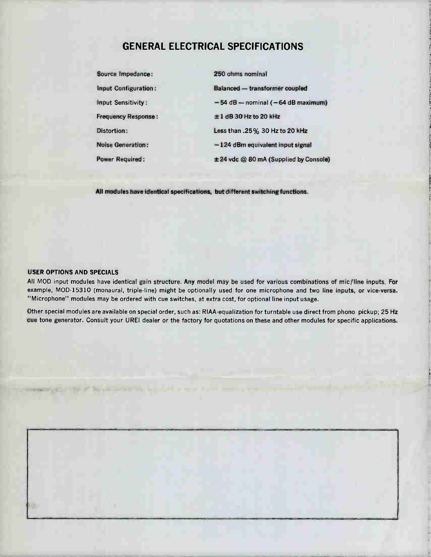# GENERAL ELECTRICAL SPECIFICATIONS

| Source Impedance:           | 250 ohms nominal                           |
|-----------------------------|--------------------------------------------|
| <b>Input Configuration:</b> | <b>Balanced - transformer coupled</b>      |
| <b>Input Sensitivity:</b>   | $-54$ dB — nominal ( $-64$ dB maximum)     |
| <b>Frequency Response:</b>  | $\pm 1$ dB 30 Hz to 20 kHz                 |
| Distortion:                 | Less than $.25\%$ 30 Hz to 20 kHz          |
| <b>Noise Generation:</b>    | $-124$ dBm equivalent input signal         |
| <b>Power Required:</b>      | $\pm$ 24 vdc @ 80 mA (Supplied by Console) |

All modules have identical specifications, but different switching functions.

#### USER OPTIONS AND SPECIALS

All MOD input modules have identical gain structure. Any model may be used for various combinations of mic/ line inputs. For example, MOD-15310 (monaural, triple-line) might be optionally used for one microphone and two line inputs, or vice-versa. "Microphone" modules may be ordered with cue switches, at extra cost, for optional line input usage.

Other special modules are available on special order, such as: RIAA-equalization for turntable use direct from phono pickup; 25 Hz cue tone generator. Consult your UREI dealer or the factory for quotations on these and other modules for specific applications.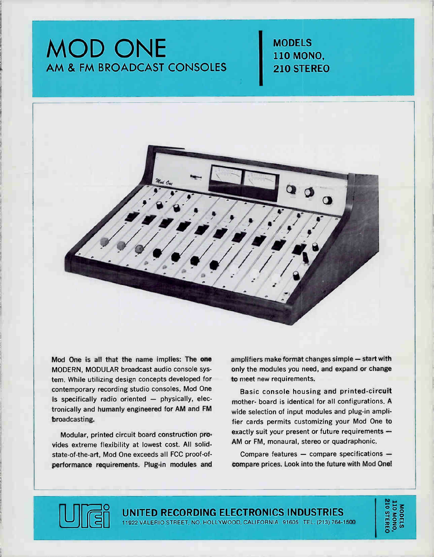# MOD ONE AM & FM BROADCAST CONSOLES

MODELS 110 MONO, 210 STEREO



Mod One is all that the name implies: The one MODERN, MODULAR broadcast audio console system. While utilizing design concepts developed for contemporary recording studio consoles, Mod One is specifically radio oriented — physically, electronically and humanly engineered for AM and FM broadcasting.

Modular, printed circuit board construction provides extreme flexibility at lowest cost. All solidstate-of-the-art, Mod One exceeds all FCC proof-ofperformance requirements. Plug-in modules and amplifiers make format changes simple — start with only the modules you need, and expand or change to meet new requirements.

Basic console housing and printed-circuit mother- board is identical for all configurations. A wide selection of input modules and plug-in amplifier cards permits customizing your Mod One to exactly suit your present or future requirements — AM or FM, monaural, stereo or quadraphonic.

Compare features — compare specifications compare prices. Look into the future with Mod One!



UNITED RECORDING ELECTRONICS INDUSTRIES 11922 VALERIO STREET, NO. HOLLYWOOD, CALIFORNIA 91605 TEL. (213) 764-1500

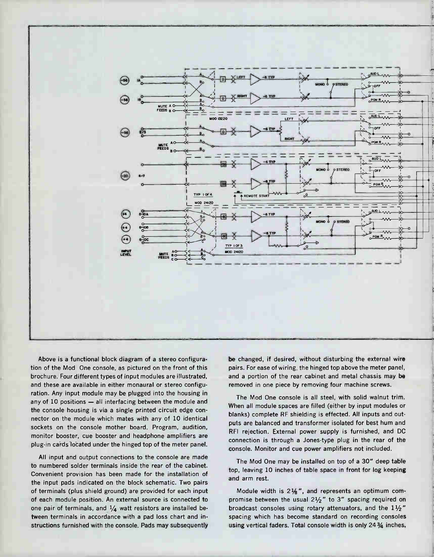

Above is a functional block diagram of a stereo configuration of the Mod One console, as pictured on the front of this brochure. Four different types of input modules are illustrated, and these are available in either monaural or stereo configuration. Any input module may be plugged into the housing in any of 10 positions - all interfacing between the module and the console housing is via a single printed circuit edge connector on the module which mates with any of 10 identical sockets on the console mother board. Program, audition, monitor booster, cue booster and headphone amplifiers are plug-in cards located under the hinged top of the meter panel.

All input and output connections to the console are made to numbered solder terminals inside the rear of the cabinet. Convenient provision has been made for the installation of the input pads indicated on the block schematic. Two pairs of terminals (plus shield ground) are provided for each input of each module position. An external source is connected to one pair of terminals, and  $\frac{1}{4}$  watt resistors are installed between terminals in accordance with a pad loss chart and instructions furnished with the console. Pads may subsequently be changed, if desired, without disturbing the external wire pairs. For ease of wiring, the hinged top above the meter panel, and a portion of the rear cabinet and metal chassis may be removed in one piece by removing four machine screws.

The Mod One console is all steel, with solid walnut trim. When all module spaces are filled (either by input modules or blanks) complete RF shielding is effected. All inputs and outputs are balanced and transformer isolated for best hum and RFI rejection. External power supply is furnished, and DC connection is through a Jones-type plug in the rear of the console. Monitor and cue power amplifiers not included.

The Mod One may be installed on top of a 30" deep table top, leaving 10 inches of table space in front for log keeping and arm rest.

Module width is 21/<sub>8</sub>", and represents an optimum compromise between the usual  $2\frac{1}{2}$ " to 3" spacing required on broadcast consoles using rotary attenuators, and the  $1\frac{1}{2}$ " spacing which has become standard on recording consoles using vertical faders. Total console width is only 24 3/4 inches,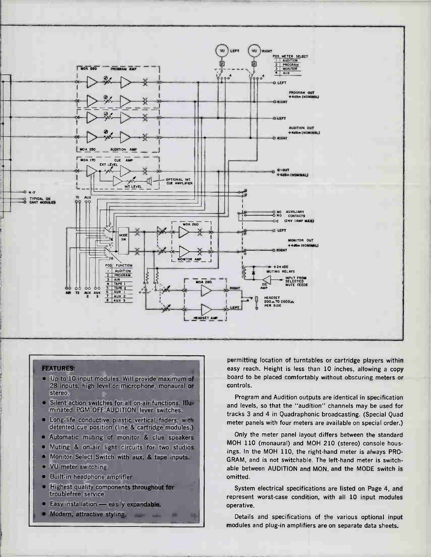

#### **FEATURES:**

- Up to 10 input modules. Will provide maximum of 28 inputs, high level or microphone, monaural or stereo.
- Silent action switches for all on-air functions. Illuminated PGM-OFF-AUDITION lever switches.
- Long-life conductive plastic vertical faders, with detented cue position (line & cartridge modules.)
- Automatic muting of monitor & clue speakers
- Muting & on-air light circuits for two studios
- Monitor Select Switch with aux. & tape inputs.

-

- VU meter switching
- Built-in headphone amplifier
- Highest quality components throughout for troublefree service
- Easy installation easily expandable.
- Modern, attractive styling.

permitting location of turntables or cartridge players within easy reach. Height is less than 10 inches, allowing a copy board to be placed comfortably without obscuring meters or controls.

Program and Audition outputs are identical in specification and levels, so that the "audition" channels may be used for tracks 3 and 4 in Quadraphonic broadcasting. (Special Quad meter panels with four meters are available on special order.)

Only the meter panel layout differs between the standard MOH 110 (monaural) and MOH 210 (stereo) console housings. In the MOH 110, the right-hand meter is always PRO-GRAM, and is not switchable. The left-hand meter is switchable between AUDITION and MON. and the MODE switch is omitted.

System electrical specifications are listed on Page 4, and represent worst-case condition, with all 10 input modules operative.

Details and specifications of the various optional input modules and plug-in amplifiers are on separate data sheets.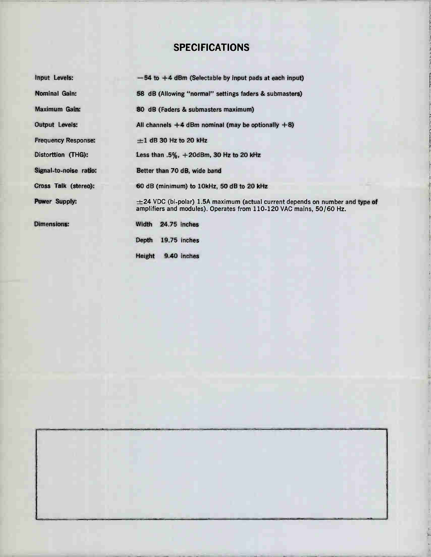# **SPECIFICATIONS**

| Input Levels:              | $-54$ to $+4$ dBm (Selectable by input pads at each input)                                                                                                |  |
|----------------------------|-----------------------------------------------------------------------------------------------------------------------------------------------------------|--|
| Nominal Gain:              | 58 dB (Allowing "normal" settings faders & submasters)                                                                                                    |  |
| Maximum Gain:              | 80 dB (Faders & submasters maximum)                                                                                                                       |  |
| Output Levels:             | All channels $+4$ dBm nominal (may be optionally $+8$ )                                                                                                   |  |
| <b>Frequency Response:</b> | $\pm$ 1 dB 30 Hz to 20 kHz                                                                                                                                |  |
| Distorttion (THG):         | Less than .5%, $+20$ dBm, 30 Hz to 20 kHz                                                                                                                 |  |
| Signal-to-noise ratio:     | Better than 70 dB, wide band                                                                                                                              |  |
| Cross Talk (stereo):       | 60 dB (minimum) to 10kHz, 50 dB to 20 kHz                                                                                                                 |  |
| Power Supply:              | $\pm$ 24 VDC (bi-polar) 1.5A maximum (actual current depends on number and type of<br>amplifiers and modules). Operates from 110-120 VAC mains, 50/60 Hz. |  |
| <b>Dimensions:</b>         | 24.75 inches<br>Width                                                                                                                                     |  |
|                            | $19.75$ inches<br>Depth                                                                                                                                   |  |
|                            | Height<br>9.40 inches                                                                                                                                     |  |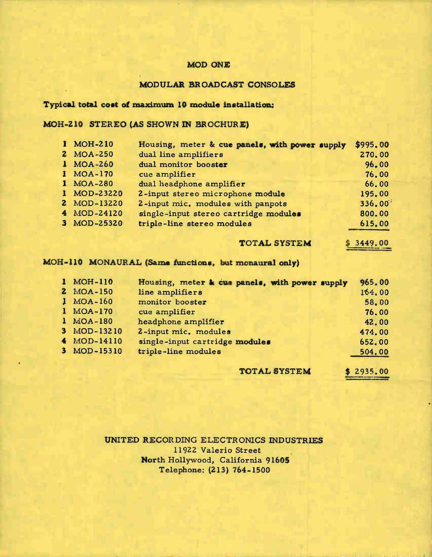## MOD ONE

### MODULAR BROADCAST CONSOLES

## Typical total cost of maximum 10 module installation:

# MOH-210 STEREO (AS SHOWN IN BROCHURE)

| 1 MOH-210   | Housing, meter & cue panels, with power supply | \$995.00            |
|-------------|------------------------------------------------|---------------------|
| 2 MOA-250   | dual line amplifiers                           | 270.00              |
| 1 MOA-260   | dual monitor booster                           | 96.00               |
| 1 MOA-170   | cue amplifier                                  | 76.00               |
| 1 MOA-280   | dual headphone amplifier                       | 66.00               |
| 1 MOD-23220 | 2-input stereo microphone module               | 195.00              |
| 2 MOD-13220 | 2-input mic. modules with panpots              | 336.00 <sup>1</sup> |
| 4 MOD-24120 | single-input stereo cartridge modules          | 800.00              |
| 3 MOD-25320 | triple-line stereo modules                     | 615.00              |
|             |                                                |                     |

#### TOTAL SYSTEM \$ 3449,00

#### MOH-110 MONAURAL (Same functions, but monaural only)

| 1 MOH-110   | Housing, meter & cue panels, with power supply | 965.00    |
|-------------|------------------------------------------------|-----------|
| 2 MOA-150   | line amplifiers                                | 164.00    |
| 1 MOA-160   | monitor booster                                | 58.00     |
| 1 MOA-170   | cue amplifier                                  | 76.00     |
| 1 MOA-180   | headphone amplifier                            | 42.00     |
| 3 MOD-13210 | 2-input mic. modules                           | 474.00    |
| 4 MOD-14110 | single-input cartridge modules                 | 652.00    |
| 3 MOD-15310 | triple-line modules                            | 504.00    |
|             |                                                |           |
|             | <b>TOTAL SYSTEM</b>                            | \$2935.00 |

UNITED RECORDING ELECTRONICS INDUSTRIES 11922 Valerio Street North Hollywood, California 91605 Telephone: (213) 764-1500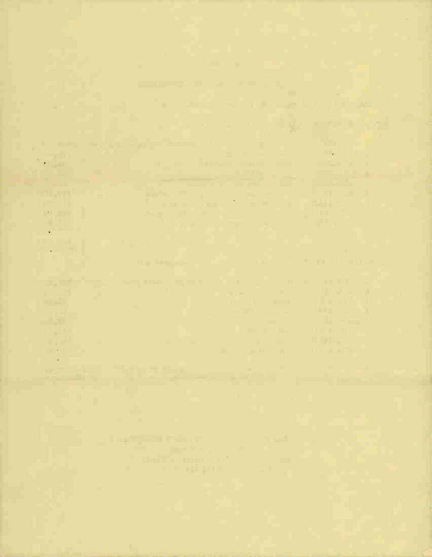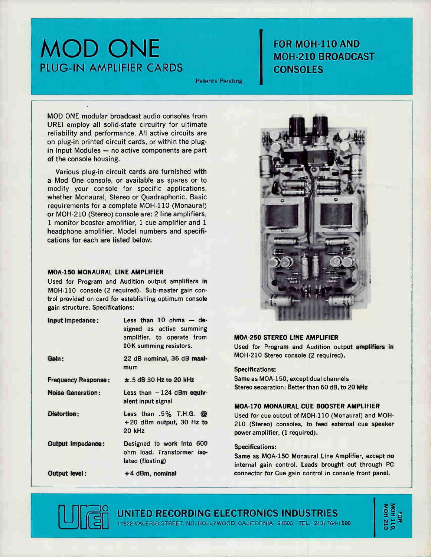# MOD ONE PLUG-IN AMPLIFIER CARDS

Patents Pending

# FOR MOH-110 AND MOH-210 BROADCAST **CONSOLES**

MOD ONE modular broadcast audio consoles from UREI employ all solid-state circuitry for ultimate reliability and performance. All active circuits are on plug-in printed circuit cards, or within the plugin Input Modules — no active components are part of the console housing.

Various plug-in circuit cards are furnished with a Mod One console, or available as spares or to modify your console for specific applications, whether Monaural, Stereo or Quadraphonic. Basic requirements for a complete MOH-110 (Monaural) or MOH-210 (Stereo) console are: 2 line amplifiers, 1 monitor booster amplifier, 1 cue amplifier and 1 headphone amplifier. Model numbers and specifications for each are listed below:

#### MOA-150 MONAURAL LINE AMPLIFIER

Used for Program and Audition output amplifiers in MOH-110 console (2 required). Sub-master gain control provided on card for establishing optimum console gain structure. Specifications:

| Input Impedance:           | Less than $10$ ohms $-$ de-<br>signed as active summing<br>amplifier, to operate from<br>10K summing resistors. |  |
|----------------------------|-----------------------------------------------------------------------------------------------------------------|--|
| Gain:                      | 22 dB nominal, 36 dB maxi-<br>mum                                                                               |  |
| <b>Frequency Response:</b> | $\pm$ .5 dB 30 Hz to 20 kHz                                                                                     |  |
| <b>Noise Generation:</b>   | Less than $-124$ dBm equiv-<br>alent input signal                                                               |  |
| <b>Distortion:</b>         | <b>Less than .5% T.H.G. <math>\omega</math></b><br>$+20$ dBm output, 30 Hz to<br>20 kHz                         |  |
| Output Impedance:          | Designed to work into 600<br>ohm load. Transformer iso-<br>lated (floating)                                     |  |
| <b>Output level:</b>       | $+4$ dBm, nominal                                                                                               |  |



#### MOA-250 STEREO LINE AMPLIFIER

Used for Program and Audition output amplifiers in MOH-210 Stereo console (2 required).

#### Specifications:

Same as MOA-150, except dual channels Stereo separation: Better than 60 dB, to 20 kHz

#### MOA-170 MONAURAL CUE BOOSTER AMPLIFIER

Used for cue output of MOH-110 (Monaural) and MOH-210 (Stereo) consoles, to feed external cue speaker power amplifier, (1 required).

#### Specifications:

Same as MOA-150 Monaural Line Amplifier, except no internal gain control. Leads brought out through PC connector for Cue gain control in console front panel.



UNITED RECORDING ELECTRONICS INDUSTRIES 11922 VALERIO STREET, NO. HOLLYWOOD, CALIFORNIA 91605 TEL. (213) 764-1500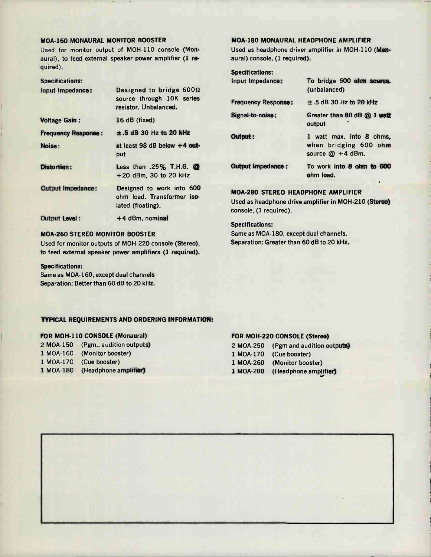#### MOA-160 MONAURAL MONITOR BOOSTER

Used for monitor output of MOH-110 console (Monaural), to feed external speaker power amplifier (1 required).

### Specifications:

| Input Impedance:           | Designed to bridge 600 $\Omega$<br>source through 10K series<br>resistor. Unbalanced. |
|----------------------------|---------------------------------------------------------------------------------------|
| <b>Voltage Gain:</b>       | 16 dB (fixed)                                                                         |
| <b>Frequency Response:</b> | $\pm$ .5 dB 30 Hz to 20 kHz                                                           |
| Noise:                     | at least $98$ dB below $+4$ out-<br>put                                               |
| <b>Distortion:</b>         | Less than .25% T.H.G. $\omega$<br>$+20$ dBm. 30 to 20 kHz                             |
| <b>Output Impedance:</b>   | Designed to work into 600<br>ohm load. Transformer iso-<br>lated (floating).          |
| <b>Output Level:</b>       | $+4$ dBm. nominal                                                                     |

#### MOA-260 STEREO MONITOR BOOSTER

Used for monitor outputs of MOH-220 console (Stereo), to feed external speaker power amplifiers (1 required).

#### Specifications:

Same as MOA-160, except dual channels Separation: Better than 60 dB to 20 kHz.

#### MOA-180 MONAURAL HEADPHONE AMPLIFIER

Used as headphone driver amplifier in MOH-110 (Monaural) console, (1 required).

| <b>Specifications:</b>     |                                                                          |
|----------------------------|--------------------------------------------------------------------------|
| Input Impedance:           | To bridge 600 ohm source.<br>(unbalanced)                                |
| <b>Frequency Response:</b> | $\pm$ .5 dB 30 Hz to 20 kHz                                              |
| Signal-to-noise :          | Greater than 80 dB @ 1 watt<br>output                                    |
| Output:                    | 1 watt max. into 8 ohms,<br>when bridging 600 ohm<br>source $@ + 4$ dBm. |
| <b>Output Impedance:</b>   | To work into 8 ohm to 600<br>ohm load.                                   |

#### MOA-280 STEREO HEADPHONE AMPLIFIER

Used as headphone drive amplifier in MOH-210 (Stereo) console, (1 required).

#### Specifications:

Same as MOA-180, except dual channels. Separation: Greater than 60 dB to 20 kHz.

#### TYPICAL REQUIREMENTS AND ORDERING INFORMATION:

#### FOR MOH-110 CONSOLE (Monaural)

2 MOA-150 (Pgm., audition outputs) 1 MOA-160 (Monitor booster) 1 MOA-170 (Cue booster) 1 MOA-180 (Headphone amplifier)

#### FOR MOH-220 CONSOLE (Stereo)

|           | 2 MOA-250 (Pgm and audition outputs) |  |
|-----------|--------------------------------------|--|
| 1 MOA-170 | (Cue booster)                        |  |
|           | 1 MOA-260 (Monitor booster)          |  |
|           | 1 MOA-280 (Headphone amplifier)      |  |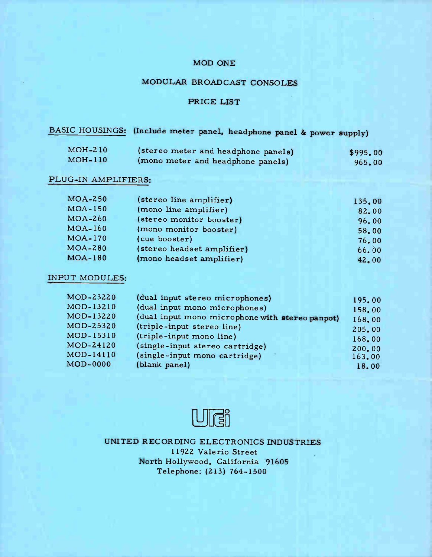## MOD ONE

# MODULAR BROADCAST CONSOLES

### PRICE LIST

# BASIC HOUSINGS: (Include meter panel, headphone panel & power supply)

| MOH-210 | (stereo meter and headphone panels) | \$995.00 |
|---------|-------------------------------------|----------|
| MOH-110 | (mono meter and headphone panels)   | 965.00   |

## PLUG-IN AMPLIFIERS:

| <b>MOA-250</b> | (stereo line amplifier)    | 135.00 |
|----------------|----------------------------|--------|
| <b>MOA-150</b> | (mono line amplifier)      | 82.00  |
| $MOA-260$      | (stereo monitor booster)   | 96.00  |
| $MOA-160$      | (mono monitor booster)     | 58.00  |
| $MOA-170$      | (cue booster)              | 76.00  |
| <b>MOA-280</b> | (stereo headset amplifier) | 66.00  |
| <b>MOA-180</b> | (mono headset amplifier)   | 42.00  |

### INPUT MODULES:

| MOD-23220       | (dual input stereo microphones)                 | 195.00           |
|-----------------|-------------------------------------------------|------------------|
| MOD-13210       | (dual input mono microphones)                   | 158.00           |
| MOD-13220       | (dual input mono microphone with stereo panpot) | 168.00           |
| MOD-25320       | (triple-input stereo line)                      | 205.00           |
| MOD-15310       | (triple-input mono line)                        | 168.00           |
| MOD-24120       | (single-input stereo cartridge)                 |                  |
| MOD-14110       | (single-input mono cartridge)                   | 200.00<br>163.00 |
| <b>MOD-0000</b> | (blank panel)                                   | 18.00            |



UNITED RECORDING ELECTRONICS INDUSTRIES 11922 Valerio Street North Hollywood, California 91605 Telephone: (213) 764-1500